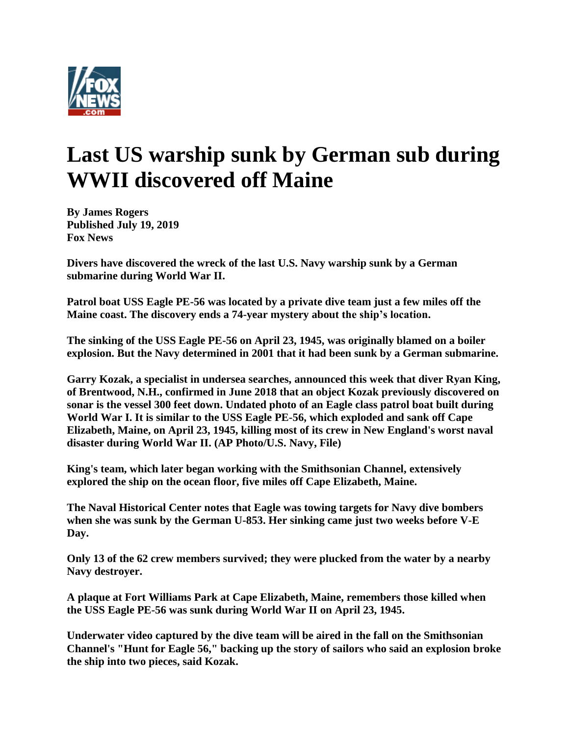

## **Last US warship sunk by German sub during WWII discovered off Maine**

**By James Rogers Published July 19, 2019 Fox News**

**Divers have discovered the wreck of the last U.S. Navy warship sunk by a German submarine during World War II.**

**Patrol boat USS Eagle PE-56 was located by a private dive team just a few miles off the Maine coast. The discovery ends a 74-year mystery about the ship's location.**

**The sinking of the USS Eagle PE-56 on April 23, 1945, was originally blamed on a boiler explosion. But the Navy determined in 2001 that it had been sunk by a German submarine.**

**Garry Kozak, a specialist in undersea searches, announced this week that diver Ryan King, of Brentwood, N.H., confirmed in June 2018 that an object Kozak previously discovered on sonar is the vessel 300 feet down. Undated photo of an Eagle class patrol boat built during World War I. It is similar to the USS Eagle PE-56, which exploded and sank off Cape Elizabeth, Maine, on April 23, 1945, killing most of its crew in New England's worst naval disaster during World War II. (AP Photo/U.S. Navy, File)**

**King's team, which later began working with the Smithsonian Channel, extensively explored the ship on the ocean floor, five miles off Cape Elizabeth, Maine.**

**The Naval Historical Center notes that Eagle was towing targets for Navy dive bombers when she was sunk by the German U-853. Her sinking came just two weeks before V-E Day.**

**Only 13 of the 62 crew members survived; they were plucked from the water by a nearby Navy destroyer.**

**A plaque at Fort Williams Park at Cape Elizabeth, Maine, remembers those killed when the USS Eagle PE-56 was sunk during World War II on April 23, 1945.**

**Underwater video captured by the dive team will be aired in the fall on the Smithsonian Channel's "Hunt for Eagle 56," backing up the story of sailors who said an explosion broke the ship into two pieces, said Kozak.**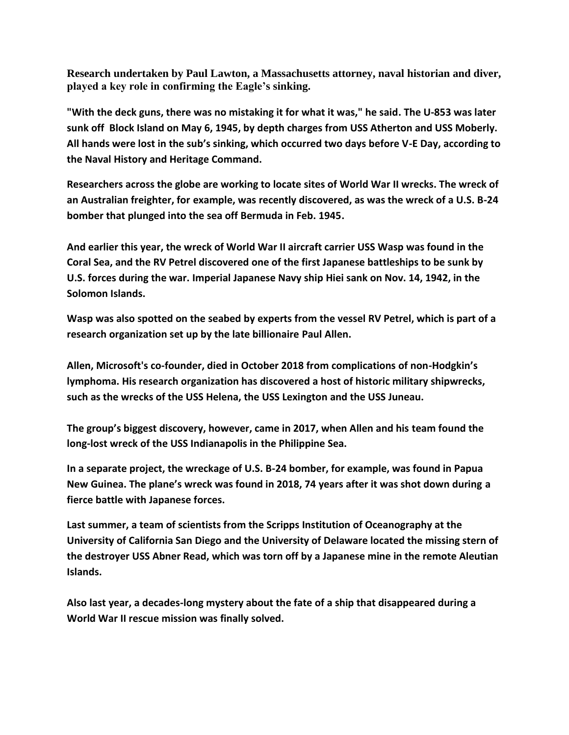**Research undertaken by Paul Lawton, a Massachusetts attorney, naval historian and diver, played a key role in confirming the Eagle's sinking.**

**"With the deck guns, there was no mistaking it for what it was," he said. The U-853 was later sunk off Block Island on May 6, 1945, by depth charges from USS Atherton and USS Moberly. All hands were lost in the sub's sinking, which occurred two days before V-E Day, according to the Naval History and Heritage Command.**

**Researchers across the globe are working to locate sites of World War II wrecks. The wreck of an Australian freighter, for example, was recently discovered, as was the wreck of a U.S. B-24 bomber that plunged into the sea off Bermuda in Feb. 1945.**

**And earlier this year, the wreck of World War II aircraft carrier USS Wasp was found in the Coral Sea, and the RV Petrel discovered one of the first Japanese battleships to be sunk by U.S. forces during the war. Imperial Japanese Navy ship Hiei sank on Nov. 14, 1942, in the Solomon Islands.**

**Wasp was also spotted on the seabed by experts from the vessel RV Petrel, which is part of a research organization set up by the late billionaire Paul Allen.**

**Allen, Microsoft's co-founder, died in October 2018 from complications of non-Hodgkin's lymphoma. His research organization has discovered a host of historic military shipwrecks, such as the wrecks of the USS Helena, the USS Lexington and the USS Juneau.**

**The group's biggest discovery, however, came in 2017, when Allen and his team found the long-lost wreck of the USS Indianapolis in the Philippine Sea.**

**In a separate project, the wreckage of U.S. B-24 bomber, for example, was found in Papua New Guinea. The plane's wreck was found in 2018, 74 years after it was shot down during a fierce battle with Japanese forces.**

**Last summer, a team of scientists from the Scripps Institution of Oceanography at the University of California San Diego and the University of Delaware located the missing stern of the destroyer USS Abner Read, which was torn off by a Japanese mine in the remote Aleutian Islands.**

**Also last year, a decades-long mystery about the fate of a ship that disappeared during a World War II rescue mission was finally solved.**